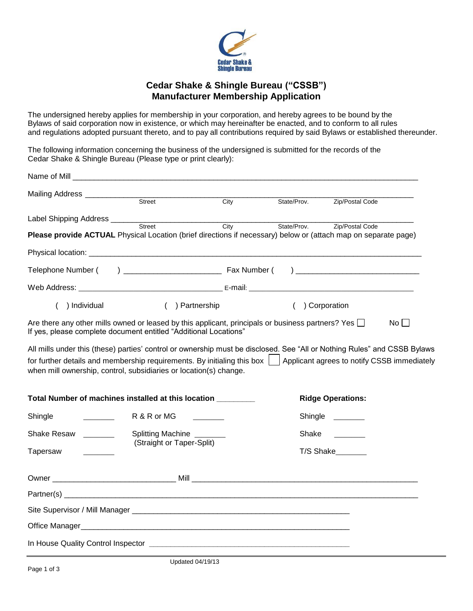

#### **Cedar Shake & Shingle Bureau ("CSSB") Manufacturer Membership Application**

The undersigned hereby applies for membership in your corporation, and hereby agrees to be bound by the Bylaws of said corporation now in existence, or which may hereinafter be enacted, and to conform to all rules and regulations adopted pursuant thereto, and to pay all contributions required by said Bylaws or established thereunder.

The following information concerning the business of the undersigned is submitted for the records of the Cedar Shake & Shingle Bureau (Please type or print clearly):

|                                                                                                                                                                                                                                                                          |                                                | City | State/Prov. | Zip/Postal Code                             |    |
|--------------------------------------------------------------------------------------------------------------------------------------------------------------------------------------------------------------------------------------------------------------------------|------------------------------------------------|------|-------------|---------------------------------------------|----|
|                                                                                                                                                                                                                                                                          |                                                |      |             |                                             |    |
|                                                                                                                                                                                                                                                                          |                                                | City | State/Prov. | Zip/Postal Code                             |    |
| Please provide ACTUAL Physical Location (brief directions if necessary) below or (attach map on separate page)                                                                                                                                                           |                                                |      |             |                                             |    |
|                                                                                                                                                                                                                                                                          |                                                |      |             |                                             |    |
|                                                                                                                                                                                                                                                                          |                                                |      |             |                                             |    |
|                                                                                                                                                                                                                                                                          |                                                |      |             |                                             |    |
| ) Individual                                                                                                                                                                                                                                                             | ( ) Partnership                                |      | $\left($    | ) Corporation                               |    |
| Are there any other mills owned or leased by this applicant, principals or business partners? Yes $\Box$<br>If yes, please complete document entitled "Additional Locations"                                                                                             |                                                |      |             |                                             | No |
| All mills under this (these) parties' control or ownership must be disclosed. See "All or Nothing Rules" and CSSB Bylaws<br>for further details and membership requirements. By initialing this box<br>when mill ownership, control, subsidiaries or location(s) change. |                                                |      |             | Applicant agrees to notify CSSB immediately |    |
| Total Number of machines installed at this location ________                                                                                                                                                                                                             |                                                |      |             | <b>Ridge Operations:</b>                    |    |
| Shingle                                                                                                                                                                                                                                                                  | R & R or MG                                    |      |             | Shingle ______                              |    |
| Shake Resaw ________                                                                                                                                                                                                                                                     | Splitting Machine<br>(Straight or Taper-Split) |      | Shake       |                                             |    |
| Tapersaw                                                                                                                                                                                                                                                                 |                                                |      |             | T/S Shake_______                            |    |
|                                                                                                                                                                                                                                                                          |                                                |      |             |                                             |    |
|                                                                                                                                                                                                                                                                          |                                                |      |             |                                             |    |
|                                                                                                                                                                                                                                                                          |                                                |      |             |                                             |    |
|                                                                                                                                                                                                                                                                          |                                                |      |             |                                             |    |
|                                                                                                                                                                                                                                                                          |                                                |      |             |                                             |    |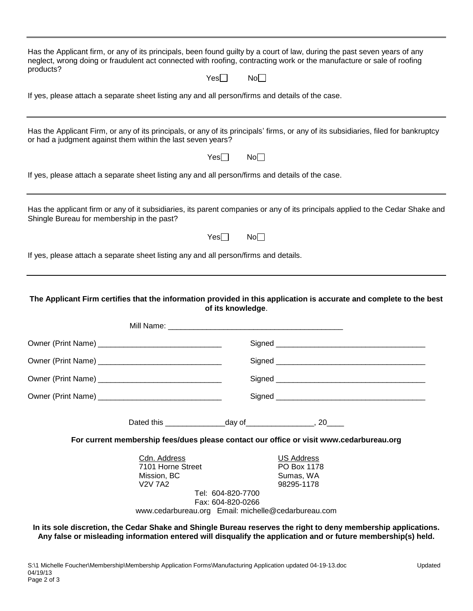Has the Applicant firm, or any of its principals, been found guilty by a court of law, during the past seven years of any neglect, wrong doing or fraudulent act connected with roofing, contracting work or the manufacture or sale of roofing products?  $Yes \Box$  No $\Box$ If yes, please attach a separate sheet listing any and all person/firms and details of the case.

Has the Applicant Firm, or any of its principals, or any of its principals' firms, or any of its subsidiaries, filed for bankruptcy or had a judgment against them within the last seven years?

 $Yes \Box$  No $\Box$ 

If yes, please attach a separate sheet listing any and all person/firms and details of the case.

Has the applicant firm or any of it subsidiaries, its parent companies or any of its principals applied to the Cedar Shake and Shingle Bureau for membership in the past?

 $Yes \Box$  No $\Box$ 

If yes, please attach a separate sheet listing any and all person/firms and details.

**The Applicant Firm certifies that the information provided in this application is accurate and complete to the best of its knowledge**.

|                                                                    |                                        | For current membership fees/dues please contact our office or visit www.cedarbureau.org |
|--------------------------------------------------------------------|----------------------------------------|-----------------------------------------------------------------------------------------|
| Cdn. Address<br>7101 Horne Street<br>Mission, BC<br><b>V2V 7A2</b> | Tel: 604-820-7700<br>Fax: 604-820-0266 | US Address<br>PO Box 1178<br>Sumas, WA<br>98295-1178                                    |

www.cedarbureau.org Email: michelle@cedarbureau.com

**In its sole discretion, the Cedar Shake and Shingle Bureau reserves the right to deny membership applications. Any false or misleading information entered will disqualify the application and or future membership(s) held.**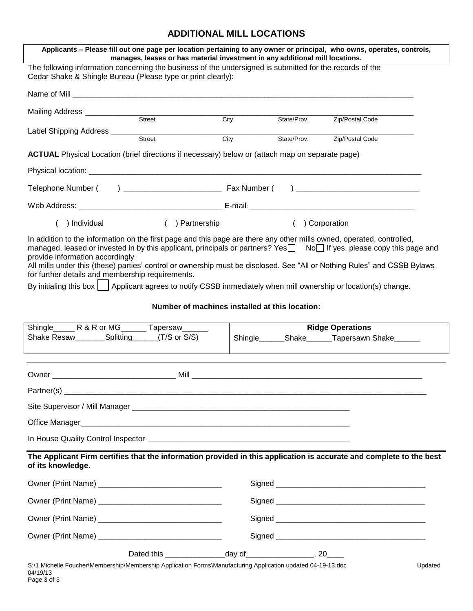### **ADDITIONAL MILL LOCATIONS**

| Applicants - Please fill out one page per location pertaining to any owner or principal, who owns, operates, controls,<br>manages, leases or has material investment in any additional mill locations.                                                                                                                                                                                                                    |                                                |                 |                                                   |
|---------------------------------------------------------------------------------------------------------------------------------------------------------------------------------------------------------------------------------------------------------------------------------------------------------------------------------------------------------------------------------------------------------------------------|------------------------------------------------|-----------------|---------------------------------------------------|
| The following information concerning the business of the undersigned is submitted for the records of the<br>Cedar Shake & Shingle Bureau (Please type or print clearly):                                                                                                                                                                                                                                                  |                                                |                 |                                                   |
| Name of Mill <b>Name of Mill</b>                                                                                                                                                                                                                                                                                                                                                                                          |                                                |                 |                                                   |
| Mailing Address ____________<br>Street                                                                                                                                                                                                                                                                                                                                                                                    | City                                           |                 |                                                   |
| Label Shipping Address ______                                                                                                                                                                                                                                                                                                                                                                                             |                                                |                 | State/Prov. Zip/Postal Code                       |
| $rac{1}{\text{Street}}$                                                                                                                                                                                                                                                                                                                                                                                                   | City                                           |                 | State/Prov. Zip/Postal Code                       |
| <b>ACTUAL</b> Physical Location (brief directions if necessary) below or (attach map on separate page)                                                                                                                                                                                                                                                                                                                    |                                                |                 |                                                   |
|                                                                                                                                                                                                                                                                                                                                                                                                                           |                                                |                 |                                                   |
|                                                                                                                                                                                                                                                                                                                                                                                                                           |                                                |                 |                                                   |
|                                                                                                                                                                                                                                                                                                                                                                                                                           |                                                |                 |                                                   |
| ( ) Individual<br>( ) Partnership                                                                                                                                                                                                                                                                                                                                                                                         |                                                | ( ) Corporation |                                                   |
| In addition to the information on the first page and this page are there any other mills owned, operated, controlled,<br>managed, leased or invested in by this applicant, principals or partners? Yes $\Box$ No $\Box$ If yes, please copy this page and<br>provide information accordingly.<br>All mills under this (these) parties' control or ownership must be disclosed. See "All or Nothing Rules" and CSSB Bylaws |                                                |                 |                                                   |
| for further details and membership requirements.<br>By initialing this box   Applicant agrees to notify CSSB immediately when mill ownership or location(s) change.                                                                                                                                                                                                                                                       |                                                |                 |                                                   |
|                                                                                                                                                                                                                                                                                                                                                                                                                           |                                                |                 |                                                   |
|                                                                                                                                                                                                                                                                                                                                                                                                                           | Number of machines installed at this location: |                 |                                                   |
|                                                                                                                                                                                                                                                                                                                                                                                                                           |                                                |                 |                                                   |
| Shingle R & R or MG _______ Tapersaw ______                                                                                                                                                                                                                                                                                                                                                                               |                                                |                 | <b>Ridge Operations</b>                           |
|                                                                                                                                                                                                                                                                                                                                                                                                                           |                                                |                 | Shingle________Shake_______Tapersawn Shake_______ |
|                                                                                                                                                                                                                                                                                                                                                                                                                           |                                                |                 |                                                   |
|                                                                                                                                                                                                                                                                                                                                                                                                                           |                                                |                 |                                                   |
| Partner(s) $_{-}$                                                                                                                                                                                                                                                                                                                                                                                                         |                                                |                 |                                                   |
|                                                                                                                                                                                                                                                                                                                                                                                                                           |                                                |                 |                                                   |
|                                                                                                                                                                                                                                                                                                                                                                                                                           |                                                |                 |                                                   |
|                                                                                                                                                                                                                                                                                                                                                                                                                           |                                                |                 |                                                   |
| The Applicant Firm certifies that the information provided in this application is accurate and complete to the best<br>of its knowledge.                                                                                                                                                                                                                                                                                  |                                                |                 |                                                   |
|                                                                                                                                                                                                                                                                                                                                                                                                                           |                                                |                 |                                                   |
|                                                                                                                                                                                                                                                                                                                                                                                                                           |                                                |                 |                                                   |
|                                                                                                                                                                                                                                                                                                                                                                                                                           |                                                |                 |                                                   |
|                                                                                                                                                                                                                                                                                                                                                                                                                           |                                                |                 |                                                   |
|                                                                                                                                                                                                                                                                                                                                                                                                                           |                                                |                 |                                                   |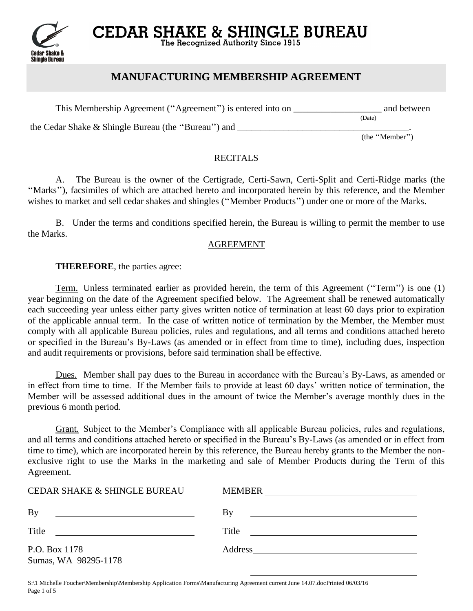

**CEDAR SHAKE & SHINGLE BUREAU** The Recognized Authority Since 1915

## **MANUFACTURING MEMBERSHIP AGREEMENT**

This Membership Agreement ("Agreement") is entered into on \_\_\_\_\_\_\_\_\_\_\_\_\_\_\_\_\_\_\_\_\_ and between

the Cedar Shake & Shingle Bureau (the ''Bureau'') and \_\_\_\_\_\_\_\_\_\_\_\_\_\_\_\_\_\_\_\_\_\_\_\_\_\_\_\_\_\_\_\_\_\_\_\_\_.

 $(Date)$ 

(the ''Member'')

#### **RECITALS**

A. The Bureau is the owner of the Certigrade, Certi-Sawn, Certi-Split and Certi-Ridge marks (the ''Marks''), facsimiles of which are attached hereto and incorporated herein by this reference, and the Member wishes to market and sell cedar shakes and shingles (''Member Products'') under one or more of the Marks.

B. Under the terms and conditions specified herein, the Bureau is willing to permit the member to use the Marks.

#### AGREEMENT

#### **THEREFORE**, the parties agree:

Term. Unless terminated earlier as provided herein, the term of this Agreement ("Term") is one (1) year beginning on the date of the Agreement specified below. The Agreement shall be renewed automatically each succeeding year unless either party gives written notice of termination at least 60 days prior to expiration of the applicable annual term. In the case of written notice of termination by the Member, the Member must comply with all applicable Bureau policies, rules and regulations, and all terms and conditions attached hereto or specified in the Bureau's By-Laws (as amended or in effect from time to time), including dues, inspection and audit requirements or provisions, before said termination shall be effective.

Dues. Member shall pay dues to the Bureau in accordance with the Bureau's By-Laws, as amended or in effect from time to time. If the Member fails to provide at least 60 days' written notice of termination, the Member will be assessed additional dues in the amount of twice the Member's average monthly dues in the previous 6 month period.

Grant. Subject to the Member's Compliance with all applicable Bureau policies, rules and regulations, and all terms and conditions attached hereto or specified in the Bureau's By-Laws (as amended or in effect from time to time), which are incorporated herein by this reference, the Bureau hereby grants to the Member the nonexclusive right to use the Marks in the marketing and sale of Member Products during the Term of this Agreement.

| <b>CEDAR SHAKE &amp; SHINGLE BUREAU</b>                                                                                                                                                                                                       | MEMBER<br><u> 1989 - John Stein, Amerikaansk politiker (</u>                                                                  |
|-----------------------------------------------------------------------------------------------------------------------------------------------------------------------------------------------------------------------------------------------|-------------------------------------------------------------------------------------------------------------------------------|
| By<br><u> 1989 - Johann Stoff, amerikansk politiker (</u>                                                                                                                                                                                     | By<br><u> 1989 - Johann Stein, mars an deutscher Stein († 1989)</u>                                                           |
| Title<br><u>and the state of the state of the state of the state of the state of the state of the state of the state of the state of the state of the state of the state of the state of the state of the state of the state of the state</u> | Title<br><u> 1980 - Jan Samuel Barbara, martin da shekara 1980 - An tsara 1980 - An tsara 1980 - An tsara 1980 - An tsara</u> |
| P.O. Box 1178                                                                                                                                                                                                                                 | Address                                                                                                                       |
| Sumas, WA 98295-1178                                                                                                                                                                                                                          |                                                                                                                               |

S:\1 Michelle Foucher\Membership\Membership Application Forms\Manufacturing Agreement current June 14.07.docPrinted 06/03/16 Page 1 of 5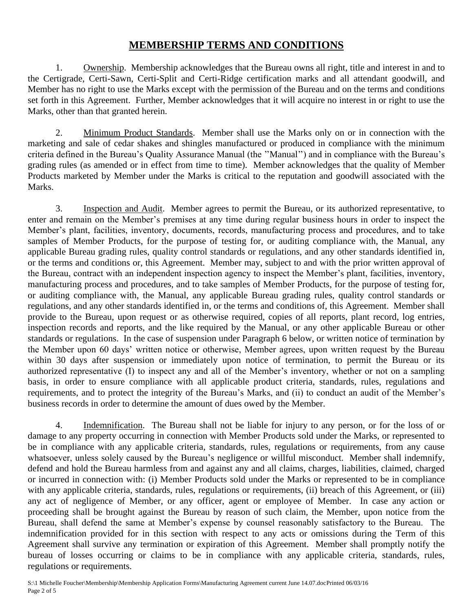## **MEMBERSHIP TERMS AND CONDITIONS**

1. Ownership. Membership acknowledges that the Bureau owns all right, title and interest in and to the Certigrade, Certi-Sawn, Certi-Split and Certi-Ridge certification marks and all attendant goodwill, and Member has no right to use the Marks except with the permission of the Bureau and on the terms and conditions set forth in this Agreement. Further, Member acknowledges that it will acquire no interest in or right to use the Marks, other than that granted herein.

2. Minimum Product Standards. Member shall use the Marks only on or in connection with the marketing and sale of cedar shakes and shingles manufactured or produced in compliance with the minimum criteria defined in the Bureau's Quality Assurance Manual (the ''Manual'') and in compliance with the Bureau's grading rules (as amended or in effect from time to time). Member acknowledges that the quality of Member Products marketed by Member under the Marks is critical to the reputation and goodwill associated with the Marks.

3. Inspection and Audit. Member agrees to permit the Bureau, or its authorized representative, to enter and remain on the Member's premises at any time during regular business hours in order to inspect the Member's plant, facilities, inventory, documents, records, manufacturing process and procedures, and to take samples of Member Products, for the purpose of testing for, or auditing compliance with, the Manual, any applicable Bureau grading rules, quality control standards or regulations, and any other standards identified in, or the terms and conditions or, this Agreement. Member may, subject to and with the prior written approval of the Bureau, contract with an independent inspection agency to inspect the Member's plant, facilities, inventory, manufacturing process and procedures, and to take samples of Member Products, for the purpose of testing for, or auditing compliance with, the Manual, any applicable Bureau grading rules, quality control standards or regulations, and any other standards identified in, or the terms and conditions of, this Agreement. Member shall provide to the Bureau, upon request or as otherwise required, copies of all reports, plant record, log entries, inspection records and reports, and the like required by the Manual, or any other applicable Bureau or other standards or regulations. In the case of suspension under Paragraph 6 below, or written notice of termination by the Member upon 60 days' written notice or otherwise, Member agrees, upon written request by the Bureau within 30 days after suspension or immediately upon notice of termination, to permit the Bureau or its authorized representative (I) to inspect any and all of the Member's inventory, whether or not on a sampling basis, in order to ensure compliance with all applicable product criteria, standards, rules, regulations and requirements, and to protect the integrity of the Bureau's Marks, and (ii) to conduct an audit of the Member's business records in order to determine the amount of dues owed by the Member.

4. Indemnification. The Bureau shall not be liable for injury to any person, or for the loss of or damage to any property occurring in connection with Member Products sold under the Marks, or represented to be in compliance with any applicable criteria, standards, rules, regulations or requirements, from any cause whatsoever, unless solely caused by the Bureau's negligence or willful misconduct. Member shall indemnify, defend and hold the Bureau harmless from and against any and all claims, charges, liabilities, claimed, charged or incurred in connection with: (i) Member Products sold under the Marks or represented to be in compliance with any applicable criteria, standards, rules, regulations or requirements, (ii) breach of this Agreement, or (iii) any act of negligence of Member, or any officer, agent or employee of Member. In case any action or proceeding shall be brought against the Bureau by reason of such claim, the Member, upon notice from the Bureau, shall defend the same at Member's expense by counsel reasonably satisfactory to the Bureau. The indemnification provided for in this section with respect to any acts or omissions during the Term of this Agreement shall survive any termination or expiration of this Agreement. Member shall promptly notify the bureau of losses occurring or claims to be in compliance with any applicable criteria, standards, rules, regulations or requirements.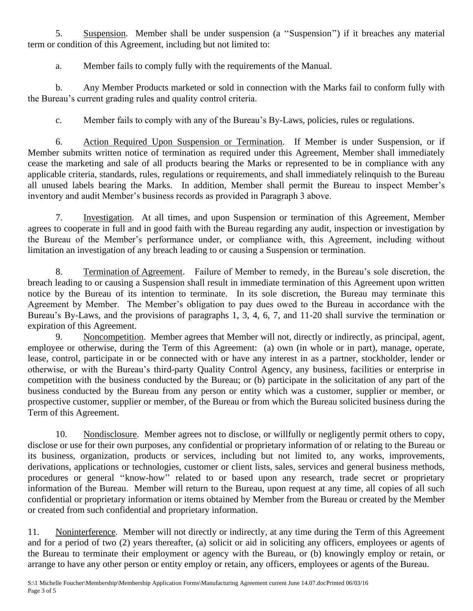5. Suspension. Member shall be under suspension (a ''Suspension'') if it breaches any material term or condition of this Agreement, including but not limited to:

a. Member fails to comply fully with the requirements of the Manual.

b. Any Member Products marketed or sold in connection with the Marks fail to conform fully with the Bureau's current grading rules and quality control criteria.

c. Member fails to comply with any of the Bureau's By-Laws, policies, rules or regulations.

6. Action Required Upon Suspension or Termination. If Member is under Suspension, or if Member submits written notice of termination as required under this Agreement, Member shall immediately cease the marketing and sale of all products bearing the Marks or represented to be in compliance with any applicable criteria, standards, rules, regulations or requirements, and shall immediately relinquish to the Bureau all unused labels bearing the Marks. In addition, Member shall permit the Bureau to inspect Member's inventory and audit Member's business records as provided in Paragraph 3 above.

7. Investigation. At all times, and upon Suspension or termination of this Agreement, Member agrees to cooperate in full and in good faith with the Bureau regarding any audit, inspection or investigation by the Bureau of the Member's performance under, or compliance with, this Agreement, including without limitation an investigation of any breach leading to or causing a Suspension or termination.

8. Termination of Agreement. Failure of Member to remedy, in the Bureau's sole discretion, the breach leading to or causing a Suspension shall result in immediate termination of this Agreement upon written notice by the Bureau of its intention to terminate. In its sole discretion, the Bureau may terminate this Agreement by Member. The Member's obligation to pay dues owed to the Bureau in accordance with the Bureau's By-Laws, and the provisions of paragraphs 1, 3, 4, 6, 7, and 11-20 shall survive the termination or expiration of this Agreement.

9. Noncompetition. Member agrees that Member will not, directly or indirectly, as principal, agent, employee or otherwise, during the Term of this Agreement: (a) own (in whole or in part), manage, operate, lease, control, participate in or be connected with or have any interest in as a partner, stockholder, lender or otherwise, or with the Bureau's third-party Quality Control Agency, any business, facilities or enterprise in competition with the business conducted by the Bureau; or (b) participate in the solicitation of any part of the business conducted by the Bureau from any person or entity which was a customer, supplier or member, or prospective customer, supplier or member, of the Bureau or from which the Bureau solicited business during the Term of this Agreement.

10. Nondisclosure. Member agrees not to disclose, or willfully or negligently permit others to copy, disclose or use for their own purposes, any confidential or proprietary information of or relating to the Bureau or its business, organization, products or services, including but not limited to, any works, improvements, derivations, applications or technologies, customer or client lists, sales, services and general business methods, procedures or general ''know-how'' related to or based upon any research, trade secret or proprietary information of the Bureau. Member will return to the Bureau, upon request at any time, all copies of all such confidential or proprietary information or items obtained by Member from the Bureau or created by the Member or created from such confidential and proprietary information.

11. Noninterference. Member will not directly or indirectly, at any time during the Term of this Agreement and for a period of two (2) years thereafter, (a) solicit or aid in soliciting any officers, employees or agents of the Bureau to terminate their employment or agency with the Bureau, or (b) knowingly employ or retain, or arrange to have any other person or entity employ or retain, any officers, employees or agents of the Bureau.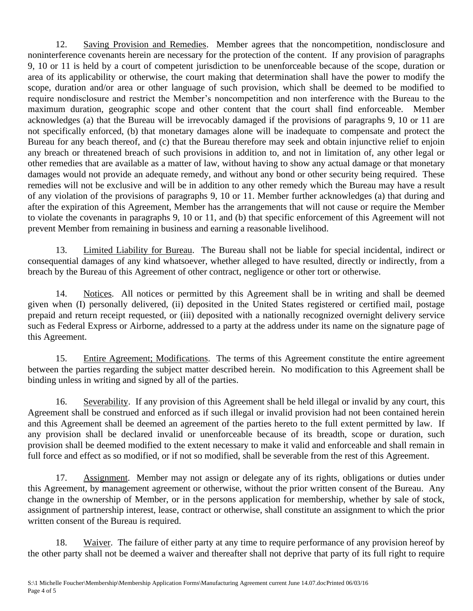12. Saving Provision and Remedies. Member agrees that the noncompetition, nondisclosure and noninterference covenants herein are necessary for the protection of the content. If any provision of paragraphs 9, 10 or 11 is held by a court of competent jurisdiction to be unenforceable because of the scope, duration or area of its applicability or otherwise, the court making that determination shall have the power to modify the scope, duration and/or area or other language of such provision, which shall be deemed to be modified to require nondisclosure and restrict the Member's noncompetition and non interference with the Bureau to the maximum duration, geographic scope and other content that the court shall find enforceable. Member acknowledges (a) that the Bureau will be irrevocably damaged if the provisions of paragraphs 9, 10 or 11 are not specifically enforced, (b) that monetary damages alone will be inadequate to compensate and protect the Bureau for any beach thereof, and (c) that the Bureau therefore may seek and obtain injunctive relief to enjoin any breach or threatened breach of such provisions in addition to, and not in limitation of, any other legal or other remedies that are available as a matter of law, without having to show any actual damage or that monetary damages would not provide an adequate remedy, and without any bond or other security being required. These remedies will not be exclusive and will be in addition to any other remedy which the Bureau may have a result of any violation of the provisions of paragraphs 9, 10 or 11. Member further acknowledges (a) that during and after the expiration of this Agreement, Member has the arrangements that will not cause or require the Member to violate the covenants in paragraphs 9, 10 or 11, and (b) that specific enforcement of this Agreement will not prevent Member from remaining in business and earning a reasonable livelihood.

13. Limited Liability for Bureau. The Bureau shall not be liable for special incidental, indirect or consequential damages of any kind whatsoever, whether alleged to have resulted, directly or indirectly, from a breach by the Bureau of this Agreement of other contract, negligence or other tort or otherwise.

14. Notices. All notices or permitted by this Agreement shall be in writing and shall be deemed given when (I) personally delivered, (ii) deposited in the United States registered or certified mail, postage prepaid and return receipt requested, or (iii) deposited with a nationally recognized overnight delivery service such as Federal Express or Airborne, addressed to a party at the address under its name on the signature page of this Agreement.

15. Entire Agreement; Modifications. The terms of this Agreement constitute the entire agreement between the parties regarding the subject matter described herein. No modification to this Agreement shall be binding unless in writing and signed by all of the parties.

16. Severability. If any provision of this Agreement shall be held illegal or invalid by any court, this Agreement shall be construed and enforced as if such illegal or invalid provision had not been contained herein and this Agreement shall be deemed an agreement of the parties hereto to the full extent permitted by law. If any provision shall be declared invalid or unenforceable because of its breadth, scope or duration, such provision shall be deemed modified to the extent necessary to make it valid and enforceable and shall remain in full force and effect as so modified, or if not so modified, shall be severable from the rest of this Agreement.

17. Assignment. Member may not assign or delegate any of its rights, obligations or duties under this Agreement, by management agreement or otherwise, without the prior written consent of the Bureau. Any change in the ownership of Member, or in the persons application for membership, whether by sale of stock, assignment of partnership interest, lease, contract or otherwise, shall constitute an assignment to which the prior written consent of the Bureau is required.

18. Waiver. The failure of either party at any time to require performance of any provision hereof by the other party shall not be deemed a waiver and thereafter shall not deprive that party of its full right to require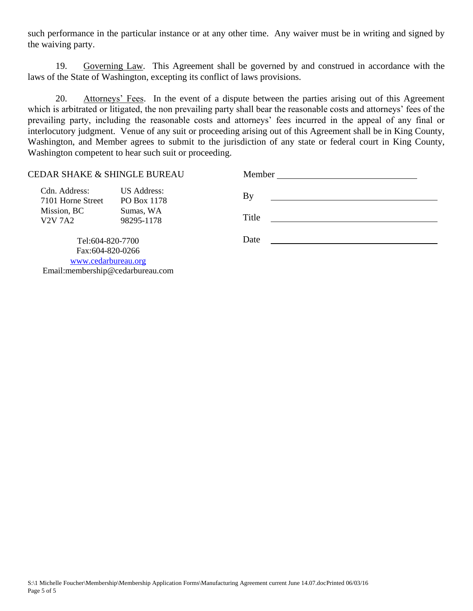such performance in the particular instance or at any other time. Any waiver must be in writing and signed by the waiving party.

19. Governing Law. This Agreement shall be governed by and construed in accordance with the laws of the State of Washington, excepting its conflict of laws provisions.

20. Attorneys' Fees. In the event of a dispute between the parties arising out of this Agreement which is arbitrated or litigated, the non prevailing party shall bear the reasonable costs and attorneys' fees of the prevailing party, including the reasonable costs and attorneys' fees incurred in the appeal of any final or interlocutory judgment. Venue of any suit or proceeding arising out of this Agreement shall be in King County, Washington, and Member agrees to submit to the jurisdiction of any state or federal court in King County, Washington competent to hear such suit or proceeding.

| <b>CEDAR SHAKE &amp; SHINGLE BUREAU</b> |                                   | Member |  |
|-----------------------------------------|-----------------------------------|--------|--|
| Cdn. Address:<br>7101 Horne Street      | <b>US Address:</b><br>PO Box 1178 | By     |  |
| Mission, BC<br><b>V2V 7A2</b>           | Sumas, WA<br>98295-1178           | Title  |  |
| Tel:604-820-7700                        |                                   | Date   |  |
| Fax:604-820-0266                        |                                   |        |  |
| www.cedarbureau.org                     |                                   |        |  |
| Email:membership@cedarbureau.com        |                                   |        |  |

S:\1 Michelle Foucher\Membership\Membership Application Forms\Manufacturing Agreement current June 14.07.docPrinted 06/03/16 Page 5 of 5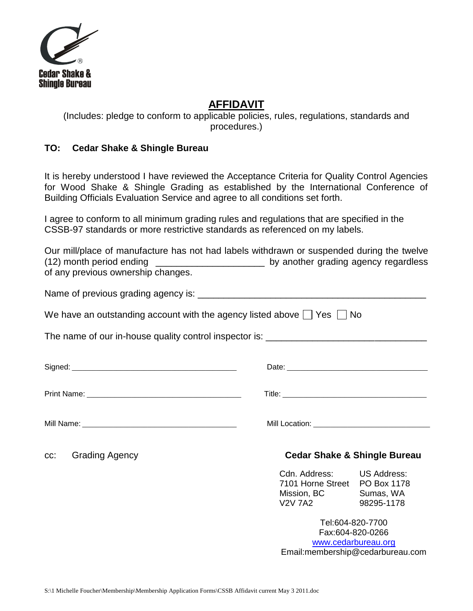

## **AFFIDAVIT**

(Includes: pledge to conform to applicable policies, rules, regulations, standards and procedures.)

### **TO: Cedar Shake & Shingle Bureau**

It is hereby understood I have reviewed the Acceptance Criteria for Quality Control Agencies for Wood Shake & Shingle Grading as established by the International Conference of Building Officials Evaluation Service and agree to all conditions set forth.

I agree to conform to all minimum grading rules and regulations that are specified in the CSSB-97 standards or more restrictive standards as referenced on my labels.

|                                    | Our mill/place of manufacture has not had labels withdrawn or suspended during the twelve |
|------------------------------------|-------------------------------------------------------------------------------------------|
| $(12)$ month period ending         | by another grading agency regardless                                                      |
| of any previous ownership changes. |                                                                                           |

| Name of previous grading agency is: |  |
|-------------------------------------|--|
|-------------------------------------|--|

We have an outstanding account with the agency listed above  $\Box$  Yes  $\Box$  No

The name of our in-house quality control inspector is: \_\_\_\_\_\_\_\_\_\_\_\_\_\_\_\_\_\_\_\_\_\_\_\_\_

| Grading Agency<br>CC: |  |                                                                                                       |            |  |  |  |
|-----------------------|--|-------------------------------------------------------------------------------------------------------|------------|--|--|--|
|                       |  |                                                                                                       |            |  |  |  |
|                       |  | <b>Cedar Shake &amp; Shingle Bureau</b>                                                               |            |  |  |  |
|                       |  | Cdn. Address: US Address:<br>7101 Horne Street PO Box 1178<br>Mission, BC Sumas, WA<br><b>V2V 7A2</b> | 98295-1178 |  |  |  |
|                       |  | Tel:604-820-7700<br>Fax:604-820-0266                                                                  |            |  |  |  |

[www.cedarbureau.org](http://www.cedarbureau.org/) Email:membership@cedarbureau.com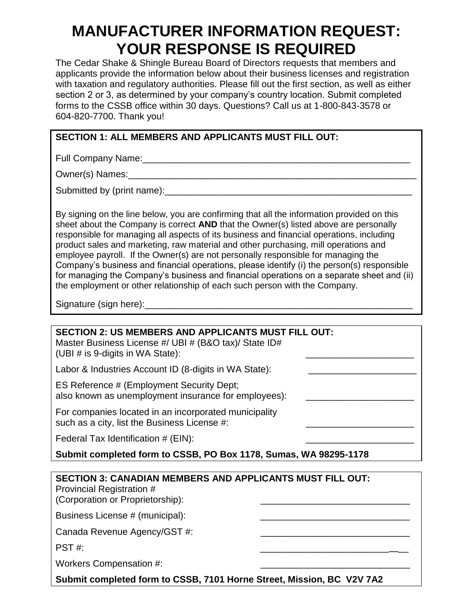# **MANUFACTURER INFORMATION REQUEST: YOUR RESPONSE IS REQUIRED**

The Cedar Shake & Shingle Bureau Board of Directors requests that members and applicants provide the information below about their business licenses and registration with taxation and regulatory authorities. Please fill out the first section, as well as either section 2 or 3, as determined by your company's country location. Submit completed forms to the CSSB office within 30 days. Questions? Call us at 1-800-843-3578 or 604-820-7700. Thank you!

### **SECTION 1: ALL MEMBERS AND APPLICANTS MUST FILL OUT:**

Full Company Name:\_\_\_\_\_\_\_\_\_\_\_\_\_\_\_\_\_\_\_\_\_\_\_\_\_\_\_\_\_\_\_\_\_\_\_\_\_\_\_\_\_\_\_\_\_\_\_\_\_\_\_\_

Owner(s) Names:\_\_\_\_\_\_\_\_\_\_\_\_\_\_\_\_\_\_\_\_\_\_\_\_\_\_\_\_\_\_\_\_\_\_\_\_\_\_\_\_\_\_\_\_\_\_\_\_\_\_\_\_\_\_\_\_

Submitted by (print name): Submitted by  $|$  and  $|$ 

By signing on the line below, you are confirming that all the information provided on this sheet about the Company is correct **AND** that the Owner(s) listed above are personally responsible for managing all aspects of its business and financial operations, including product sales and marketing, raw material and other purchasing, mill operations and employee payroll. If the Owner(s) are not personally responsible for managing the Company's business and financial operations, please identify (i) the person(s) responsible for managing the Company's business and financial operations on a separate sheet and (ii) the employment or other relationship of each such person with the Company.

Signature (sign here):\_\_\_\_\_\_\_\_\_\_\_\_\_\_\_\_\_\_\_\_\_\_\_\_\_\_\_\_\_\_\_\_\_\_\_\_\_\_\_\_\_\_\_\_\_\_\_\_\_\_\_\_

# **SECTION 2: US MEMBERS AND APPLICANTS MUST FILL OUT:**

Master Business License #/ UBI # (B&O tax)/ State ID# (UBI  $#$  is 9-digits in WA State):

Labor & Industries Account ID (8-digits in WA State):

ES Reference # (Employment Security Dept; also known as unemployment insurance for employees):

For companies located in an incorporated municipality such as a city, list the Business License #:

Federal Tax Identification  $# (EIN)$ :

**Submit completed form to CSSB, PO Box 1178, Sumas, WA 98295-1178**

| <b>SECTION 3: CANADIAN MEMBERS AND APPLICANTS MUST FILL OUT:</b><br><b>Provincial Registration #</b><br>(Corporation or Proprietorship): |  |
|------------------------------------------------------------------------------------------------------------------------------------------|--|
| Business License # (municipal):                                                                                                          |  |
| Canada Revenue Agency/GST #:                                                                                                             |  |
| PST #:                                                                                                                                   |  |
| Workers Compensation #:                                                                                                                  |  |
| Submit completed form to CSSB, 7101 Horne Street, Mission, BC V2V 7A2                                                                    |  |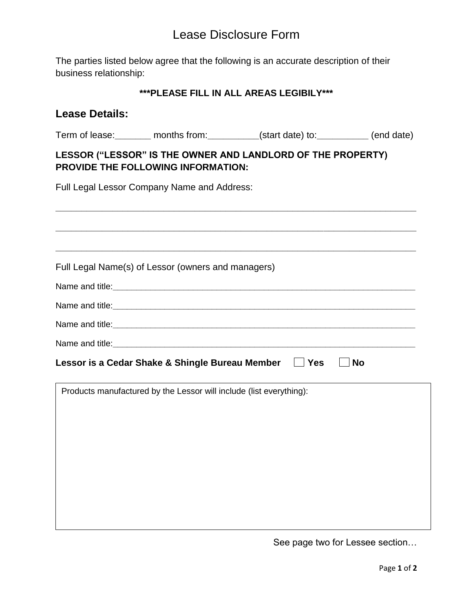# Lease Disclosure Form

The parties listed below agree that the following is an accurate description of their business relationship:

### **\*\*\*PLEASE FILL IN ALL AREAS LEGIBILY\*\*\***

### **Lease Details:**

Term of lease:**\_\_\_\_\_\_\_** months from:**\_\_\_\_\_\_\_\_\_\_**(start date) to:**\_\_\_\_\_\_\_\_\_\_** (end date)

### **LESSOR ("LESSOR" IS THE OWNER AND LANDLORD OF THE PROPERTY) PROVIDE THE FOLLOWING INFORMATION:**

Full Legal Lessor Company Name and Address:

**\_\_\_\_\_\_\_\_\_\_\_\_\_\_\_\_\_\_\_\_\_\_\_\_\_\_\_\_\_\_\_\_\_\_\_\_\_\_\_\_\_\_\_\_\_\_\_\_\_\_\_\_\_\_\_\_\_\_\_\_\_\_\_\_\_\_\_\_\_\_ \_\_\_\_\_\_\_\_\_\_\_\_\_\_\_\_\_\_\_\_\_\_\_\_\_\_\_\_\_\_\_\_\_\_\_\_\_\_\_\_\_\_\_\_\_\_\_\_\_\_\_\_\_\_\_\_\_\_\_\_\_\_\_\_\_\_\_\_\_\_ \_\_\_\_\_\_\_\_\_\_\_\_\_\_\_\_\_\_\_\_\_\_\_\_\_\_\_\_\_\_\_\_\_\_\_\_\_\_\_\_\_\_\_\_\_\_\_\_\_\_\_\_\_\_\_\_\_\_\_\_\_\_\_\_\_\_\_\_\_\_** Full Legal Name(s) of Lessor (owners and managers) Name and title: Name and title: Name and title:**\_\_\_\_\_\_\_\_\_\_\_\_\_\_\_\_\_\_\_\_\_\_\_\_\_\_\_\_\_\_\_\_\_\_\_\_\_\_\_\_\_\_\_\_\_\_\_\_\_\_\_\_\_\_\_\_\_\_\_\_\_\_\_\_**  Name and title:**\_\_\_\_\_\_\_\_\_\_\_\_\_\_\_\_\_\_\_\_\_\_\_\_\_\_\_\_\_\_\_\_\_\_\_\_\_\_\_\_\_\_\_\_\_\_\_\_\_\_\_\_\_\_\_\_\_\_\_\_\_\_\_\_** Lessor is a Cedar Shake & Shingle Bureau Member  $\Box$  Yes  $\Box$  No Products manufactured by the Lessor will include (list everything):

See page two for Lessee section…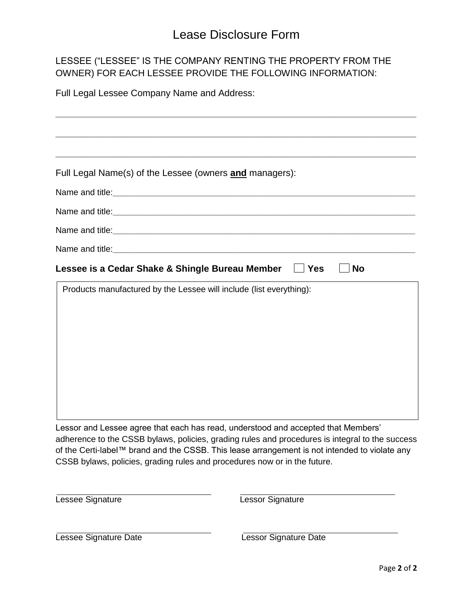# Lease Disclosure Form

## LESSEE ("LESSEE" IS THE COMPANY RENTING THE PROPERTY FROM THE OWNER) FOR EACH LESSEE PROVIDE THE FOLLOWING INFORMATION:

Full Legal Lessee Company Name and Address:

| Full Legal Name(s) of the Lessee (owners and managers):                                                                                                                                                                                                         |                                                                                                 |
|-----------------------------------------------------------------------------------------------------------------------------------------------------------------------------------------------------------------------------------------------------------------|-------------------------------------------------------------------------------------------------|
|                                                                                                                                                                                                                                                                 |                                                                                                 |
|                                                                                                                                                                                                                                                                 |                                                                                                 |
|                                                                                                                                                                                                                                                                 |                                                                                                 |
|                                                                                                                                                                                                                                                                 |                                                                                                 |
|                                                                                                                                                                                                                                                                 |                                                                                                 |
| Lessee is a Cedar Shake & Shingle Bureau Member                                                                                                                                                                                                                 | <b>No</b><br>$\Box$ Yes                                                                         |
| Products manufactured by the Lessee will include (list everything):                                                                                                                                                                                             |                                                                                                 |
| Lessor and Lessee agree that each has read, understood and accepted that Members'<br>of the Certi-label™ brand and the CSSB. This lease arrangement is not intended to violate any<br>CSSB bylaws, policies, grading rules and procedures now or in the future. | adherence to the CSSB bylaws, policies, grading rules and procedures is integral to the success |
| Lessee Signature                                                                                                                                                                                                                                                | Lessor Signature                                                                                |
| Lessee Signature Date                                                                                                                                                                                                                                           | <b>Lessor Signature Date</b>                                                                    |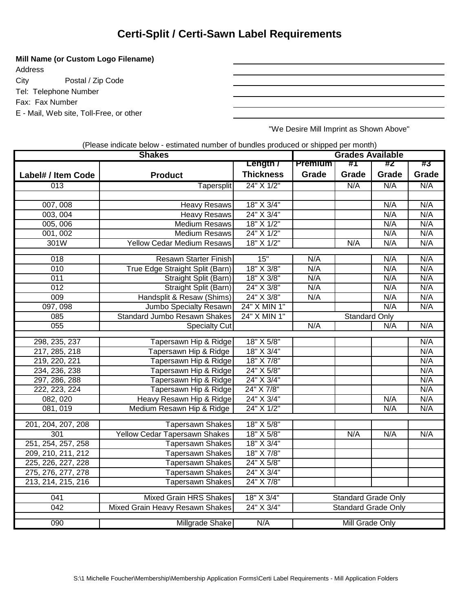# **Certi-Split / Certi-Sawn Label Requirements**

#### **Mill Name (or Custom Logo Filename)**

Address City Postal / Zip Code Tel: Telephone Number Fax: Fax Number E - Mail, Web site, Toll-Free, or other

"We Desire Mill Imprint as Shown Above"

| (Please indicate below - estimated number of bundles produced or shipped per month) |
|-------------------------------------------------------------------------------------|
|-------------------------------------------------------------------------------------|

| <b>Shakes</b>           |                                     |                  | <b>Grades Available</b>    |                            |            |       |
|-------------------------|-------------------------------------|------------------|----------------------------|----------------------------|------------|-------|
|                         |                                     | Length /         | <b>Premium</b>             | #1                         | #2         | #3    |
| Label# / Item Code      | <b>Product</b>                      | <b>Thickness</b> | Grade                      | Grade                      | Grade      | Grade |
| $\overline{013}$        | <b>Tapersplit</b>                   | 24" X 1/2"       |                            | N/A                        | N/A        | N/A   |
|                         |                                     |                  |                            |                            |            |       |
| 007,008                 | <b>Heavy Resaws</b>                 | 18" X 3/4"       |                            |                            | N/A        | N/A   |
| 003, 004                | <b>Heavy Resaws</b>                 | 24" X 3/4"       |                            |                            | N/A        | N/A   |
| 005,006                 | <b>Medium Resaws</b>                | 18" X 1/2"       |                            |                            | N/A        | N/A   |
| 001, 002                | <b>Medium Resaws</b>                | 24" X 1/2"       |                            |                            | N/A        | N/A   |
| 301W                    | <b>Yellow Cedar Medium Resaws</b>   | 18" X 1/2"       |                            | N/A                        | N/A        | N/A   |
|                         |                                     | 15"              |                            |                            |            | N/A   |
| 018<br>$\overline{010}$ | Resawn Starter Finish               |                  | N/A                        |                            | N/A<br>N/A | N/A   |
|                         | True Edge Straight Split (Barn)     | 18" X 3/8"       | N/A                        |                            |            |       |
| 011                     | Straight Split (Barn)               | 18" X 3/8"       | N/A                        |                            | N/A        | N/A   |
| $\overline{012}$        | Straight Split (Barn)               | 24" X 3/8"       | N/A                        |                            | N/A        | N/A   |
| 009                     | Handsplit & Resaw (Shims)           | 24" X 3/8"       | N/A                        |                            | N/A        | N/A   |
| 097,098                 | Jumbo Specialty Resawn              | 24" X MIN 1"     |                            |                            | N/A        | N/A   |
| 085                     | <b>Standard Jumbo Resawn Shakes</b> | 24" X MIN 1"     |                            | <b>Standard Only</b>       |            |       |
| 055                     | Specialty Cut                       |                  | N/A                        |                            | N/A        | N/A   |
| 298, 235, 237           | Tapersawn Hip & Ridge               | 18" X 5/8"       |                            |                            |            | N/A   |
| 217, 285, 218           | Tapersawn Hip & Ridge               | 18" X 3/4"       |                            |                            |            | N/A   |
| 219, 220, 221           | Tapersawn Hip & Ridge               | 18" X 7/8"       |                            |                            |            | N/A   |
| 234, 236, 238           | Tapersawn Hip & Ridge               | 24" X 5/8"       |                            |                            |            | N/A   |
| 297, 286, 288           | Tapersawn Hip & Ridge               | 24" X 3/4"       |                            |                            |            | N/A   |
| 222, 223, 224           | Tapersawn Hip & Ridge               | 24" X 7/8"       |                            |                            |            | N/A   |
| 082, 020                | Heavy Resawn Hip & Ridge            | 24" X 3/4"       |                            |                            | N/A        | N/A   |
| 081, 019                | Medium Resawn Hip & Ridge           | 24" X 1/2"       |                            |                            | N/A        | N/A   |
|                         |                                     |                  |                            |                            |            |       |
| 201, 204, 207, 208      | <b>Tapersawn Shakes</b>             | 18" X 5/8"       |                            |                            |            |       |
| 301                     | Yellow Cedar Tapersawn Shakes       | 18" X 5/8"       |                            | N/A                        | N/A        | N/A   |
| 251, 254, 257, 258      | <b>Tapersawn Shakes</b>             | 18" X 3/4"       |                            |                            |            |       |
| 209, 210, 211, 212      | <b>Tapersawn Shakes</b>             | 18" X 7/8"       |                            |                            |            |       |
| 225, 226, 227, 228      | <b>Tapersawn Shakes</b>             | 24" X 5/8"       |                            |                            |            |       |
| 275, 276, 277, 278      | <b>Tapersawn Shakes</b>             | 24" X 3/4"       |                            |                            |            |       |
| 213, 214, 215, 216      | <b>Tapersawn Shakes</b>             | 24" X 7/8"       |                            |                            |            |       |
| 041                     | <b>Mixed Grain HRS Shakes</b>       | 18" X 3/4"       | <b>Standard Grade Only</b> |                            |            |       |
| 042                     | Mixed Grain Heavy Resawn Shakes     | 24" X 3/4"       |                            | <b>Standard Grade Only</b> |            |       |
| 090                     | Millgrade Shake                     | N/A              |                            | <b>Mill Grade Only</b>     |            |       |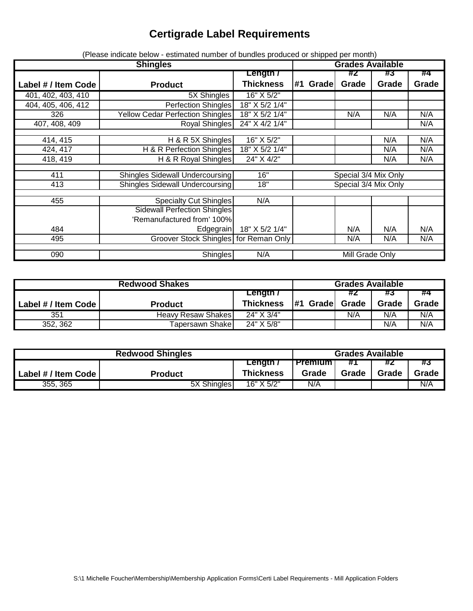# **Certigrade Label Requirements**

|                     | <b>Shingles</b>                         |                  |                        |       | <b>Grades Available</b> |       |  |  |  |
|---------------------|-----------------------------------------|------------------|------------------------|-------|-------------------------|-------|--|--|--|
|                     |                                         | <b>Length</b> /  |                        | #Z    | #3                      | #4    |  |  |  |
| Label # / Item Code | <b>Product</b>                          | <b>Thickness</b> | #1 Grade               | Grade | Grade                   | Grade |  |  |  |
| 401, 402, 403, 410  | 5X Shingles                             | 16" X 5/2"       |                        |       |                         |       |  |  |  |
| 404, 405, 406, 412  | <b>Perfection Shingles</b>              | 18" X 5/2 1/4"   |                        |       |                         |       |  |  |  |
| 326                 | <b>Yellow Cedar Perfection Shingles</b> | 18" X 5/2 1/4"   |                        | N/A   | N/A                     | N/A   |  |  |  |
| 407, 408, 409       | Royal Shingles                          | 24" X 4/2 1/4"   |                        |       |                         | N/A   |  |  |  |
|                     |                                         |                  |                        |       |                         |       |  |  |  |
| 414, 415            | H & R 5X Shingles                       | 16" X 5/2"       |                        |       | N/A                     | N/A   |  |  |  |
| 424, 417            | H & R Perfection Shingles               | 18" X 5/2 1/4"   |                        |       | N/A                     | N/A   |  |  |  |
| 418, 419            | H & R Royal Shingles                    | 24" X 4/2"       |                        |       | N/A                     | N/A   |  |  |  |
|                     |                                         |                  |                        |       |                         |       |  |  |  |
| 411                 | Shingles Sidewall Undercoursing         | 16"              | Special 3/4 Mix Only   |       |                         |       |  |  |  |
| 413                 | Shingles Sidewall Undercoursing         | 18"              | Special 3/4 Mix Only   |       |                         |       |  |  |  |
|                     |                                         |                  |                        |       |                         |       |  |  |  |
| 455                 | Specialty Cut Shingles                  | N/A              |                        |       |                         |       |  |  |  |
|                     | <b>Sidewall Perfection Shingles</b>     |                  |                        |       |                         |       |  |  |  |
|                     | 'Remanufactured from' 100%              |                  |                        |       |                         |       |  |  |  |
| 484                 | Edgegrain                               | 18" X 5/2 1/4"   |                        | N/A   | N/A                     | N/A   |  |  |  |
| 495                 | Groover Stock Shingles for Reman Only   |                  |                        | N/A   | N/A                     | N/A   |  |  |  |
|                     |                                         |                  |                        |       |                         |       |  |  |  |
| 090                 | Shingles                                |                  | N/A<br>Mill Grade Only |       |                         |       |  |  |  |

(Please indicate below - estimated number of bundles produced or shipped per month)

| <b>Redwood Shakes</b> |                           |                  |              | <b>Grades Available</b> |       |       |  |  |
|-----------------------|---------------------------|------------------|--------------|-------------------------|-------|-------|--|--|
|                       |                           | Length /         |              | #2                      | #3    | #4    |  |  |
| Label # / Item Code   | <b>Product</b>            | <b>Thickness</b> | #1<br>Gradel | Grade                   | Grade | Grade |  |  |
| 351                   | <b>Heavy Resaw Shakes</b> | 24" X 3/4"       |              | N/A                     | N/A   | N/A   |  |  |
| 352, 362              | Tapersawn Shake           | 24" X 5/8"       |              |                         | N/A   | N/A   |  |  |

| <b>Redwood Shingles</b> |                |                  | <b>Grades Available</b> |       |       |       |
|-------------------------|----------------|------------------|-------------------------|-------|-------|-------|
|                         |                | Length /         | <b>Premium</b>          |       |       | #3    |
| Label # / Item Code     | <b>Product</b> | <b>Thickness</b> | Grade                   | Grade | Grade | Grade |
| 355, 365                | 5X Shingles    | $16"$ X $5/2"$   | N/A                     |       |       | N/A   |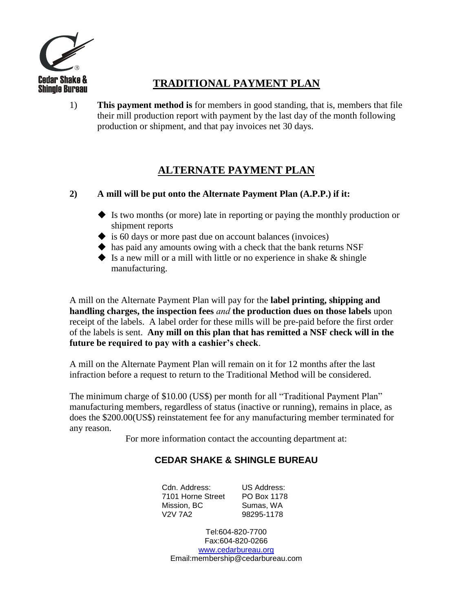

## **TRADITIONAL PAYMENT PLAN**

1) **This payment method is** for members in good standing, that is, members that file their mill production report with payment by the last day of the month following production or shipment, and that pay invoices net 30 days.

## **ALTERNATE PAYMENT PLAN**

#### **2) A mill will be put onto the Alternate Payment Plan (A.P.P.) if it:**

- Is two months (or more) late in reporting or paying the monthly production or shipment reports
- $\blacklozenge$  is 60 days or more past due on account balances (invoices)
- $\blacklozenge$  has paid any amounts owing with a check that the bank returns NSF
- $\blacklozenge$  Is a new mill or a mill with little or no experience in shake  $\&$  shingle manufacturing.

A mill on the Alternate Payment Plan will pay for the **label printing, shipping and handling charges, the inspection fees** *and* **the production dues on those labels** upon receipt of the labels. A label order for these mills will be pre-paid before the first order of the labels is sent. **Any mill on this plan that has remitted a NSF check will in the future be required to pay with a cashier's check**.

A mill on the Alternate Payment Plan will remain on it for 12 months after the last infraction before a request to return to the Traditional Method will be considered.

The minimum charge of \$10.00 (US\$) per month for all "Traditional Payment Plan" manufacturing members, regardless of status (inactive or running), remains in place, as does the \$200.00(US\$) reinstatement fee for any manufacturing member terminated for any reason.

For more information contact the accounting department at:

## **CEDAR SHAKE & SHINGLE BUREAU**

Cdn. Address: 7101 Horne Street Mission, BC V2V 7A2 US Address: PO Box 1178 Sumas, WA 98295-1178

Tel:604-820-7700 Fax:604-820-0266 [www.cedarbureau.org](http://www.cedarbureau.org/) Email:membership@cedarbureau.com